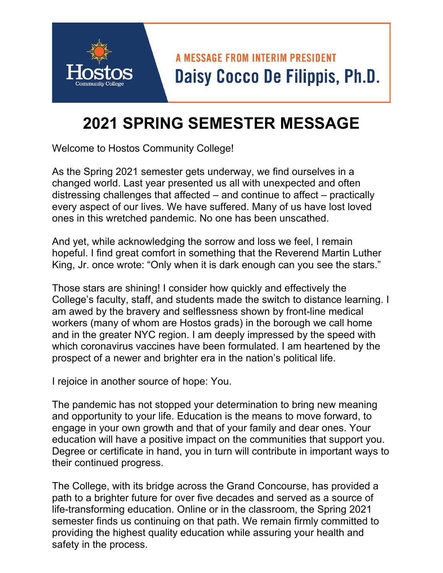

## **2021 SPRING SEMESTER MESSAGE**

Welcome to Hostos Community College!

As the Spring 2021 semester gets underway, we find ourselves in a changed world. Last year presented us all with unexpected and often distressing challenges that affected – and continue to affect – practically every aspect of our lives. We have suffered. Many of us have lost loved ones in this wretched pandemic. No one has been unscathed.

And yet, while acknowledging the sorrow and loss we feel, I remain hopeful. I find great comfort in something that the Reverend Martin Luther King, Jr. once wrote: "Only when it is dark enough can you see the stars."

Those stars are shining! I consider how quickly and effectively the College's faculty, staff, and students made the switch to distance learning. I am awed by the bravery and selflessness shown by front-line medical workers (many of whom are Hostos grads) in the borough we call home and in the greater NYC region. I am deeply impressed by the speed with which coronavirus vaccines have been formulated. I am heartened by the prospect of a newer and brighter era in the nation's political life.

I rejoice in another source of hope: You.

The pandemic has not stopped your determination to bring new meaning and opportunity to your life. Education is the means to move forward, to engage in your own growth and that of your family and dear ones. Your education will have a positive impact on the communities that support you. Degree or certificate in hand, you in turn will contribute in important ways to their continued progress.

The College, with its bridge across the Grand Concourse, has provided a path to a brighter future for over five decades and served as a source of life-transforming education. Online or in the classroom, the Spring 2021 semester finds us continuing on that path. We remain firmly committed to providing the highest quality education while assuring your health and safety in the process.